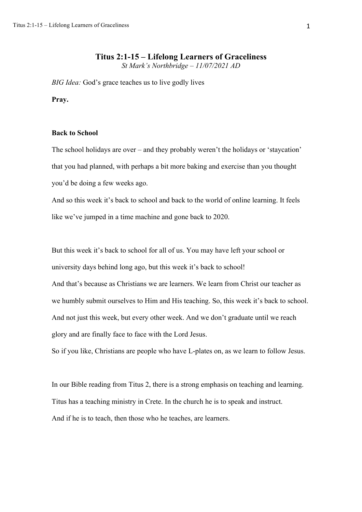*BIG Idea:* God's grace teaches us to live godly lives

**Pray.**

## **Back to School**

The school holidays are over – and they probably weren't the holidays or 'staycation' that you had planned, with perhaps a bit more baking and exercise than you thought you'd be doing a few weeks ago.

And so this week it's back to school and back to the world of online learning. It feels like we've jumped in a time machine and gone back to 2020.

But this week it's back to school for all of us. You may have left your school or university days behind long ago, but this week it's back to school! And that's because as Christians we are learners. We learn from Christ our teacher as we humbly submit ourselves to Him and His teaching. So, this week it's back to school. And not just this week, but every other week. And we don't graduate until we reach glory and are finally face to face with the Lord Jesus.

So if you like, Christians are people who have L-plates on, as we learn to follow Jesus.

In our Bible reading from Titus 2, there is a strong emphasis on teaching and learning. Titus has a teaching ministry in Crete. In the church he is to speak and instruct. And if he is to teach, then those who he teaches, are learners.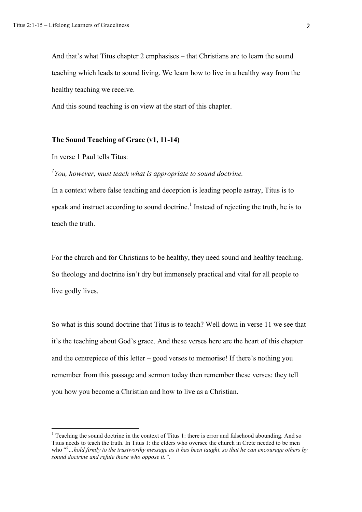And that's what Titus chapter 2 emphasises – that Christians are to learn the sound teaching which leads to sound living. We learn how to live in a healthy way from the healthy teaching we receive.

And this sound teaching is on view at the start of this chapter.

## **The Sound Teaching of Grace (v1, 11-14)**

In verse 1 Paul tells Titus:

# *1 You, however, must teach what is appropriate to sound doctrine.*

In a context where false teaching and deception is leading people astray, Titus is to speak and instruct according to sound doctrine.<sup>1</sup> Instead of rejecting the truth, he is to teach the truth.

For the church and for Christians to be healthy, they need sound and healthy teaching. So theology and doctrine isn't dry but immensely practical and vital for all people to live godly lives.

So what is this sound doctrine that Titus is to teach? Well down in verse 11 we see that it's the teaching about God's grace. And these verses here are the heart of this chapter and the centrepiece of this letter – good verses to memorise! If there's nothing you remember from this passage and sermon today then remember these verses: they tell you how you become a Christian and how to live as a Christian.

 $1$  Teaching the sound doctrine in the context of Titus 1: there is error and falsehood abounding. And so Titus needs to teach the truth. In Titus 1: the elders who oversee the church in Crete needed to be men who "*<sup>9</sup> …hold firmly to the trustworthy message as it has been taught, so that he can encourage others by sound doctrine and refute those who oppose it."*.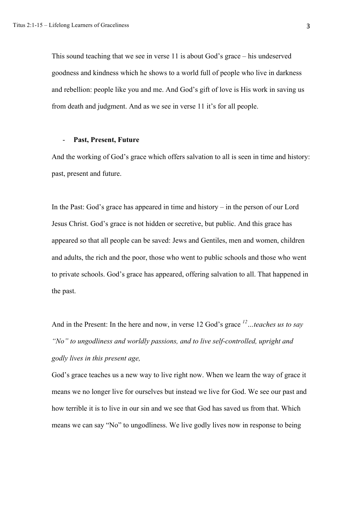This sound teaching that we see in verse 11 is about God's grace – his undeserved goodness and kindness which he shows to a world full of people who live in darkness and rebellion: people like you and me. And God's gift of love is His work in saving us from death and judgment. And as we see in verse 11 it's for all people.

#### - **Past, Present, Future**

And the working of God's grace which offers salvation to all is seen in time and history: past, present and future.

In the Past: God's grace has appeared in time and history – in the person of our Lord Jesus Christ. God's grace is not hidden or secretive, but public. And this grace has appeared so that all people can be saved: Jews and Gentiles, men and women, children and adults, the rich and the poor, those who went to public schools and those who went to private schools. God's grace has appeared, offering salvation to all. That happened in the past.

And in the Present: In the here and now, in verse 12 God's grace *12…teaches us to say "No" to ungodliness and worldly passions, and to live self-controlled, upright and godly lives in this present age,*

God's grace teaches us a new way to live right now. When we learn the way of grace it means we no longer live for ourselves but instead we live for God. We see our past and how terrible it is to live in our sin and we see that God has saved us from that. Which means we can say "No" to ungodliness. We live godly lives now in response to being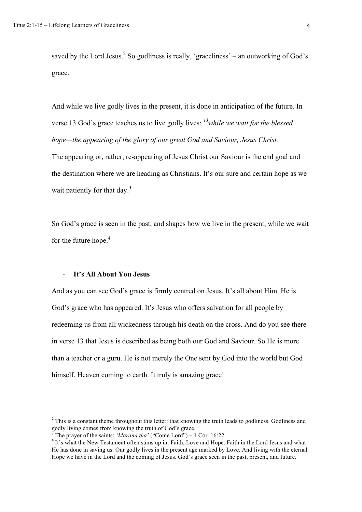saved by the Lord Jesus. $^2$  So godliness is really, 'graceliness' – an outworking of God's grace.

And while we live godly lives in the present, it is done in anticipation of the future. In verse 13 God's grace teaches us to live godly lives: *13while we wait for the blessed hope—the appearing of the glory of our great God and Saviour, Jesus Christ.*

The appearing or, rather, re-appearing of Jesus Christ our Saviour is the end goal and the destination where we are heading as Christians. It's our sure and certain hope as we wait patiently for that day.<sup>3</sup>

So God's grace is seen in the past, and shapes how we live in the present, while we wait for the future hope.<sup>4</sup>

## - **It's All About You Jesus**

And as you can see God's grace is firmly centred on Jesus. It's all about Him. He is God's grace who has appeared. It's Jesus who offers salvation for all people by redeeming us from all wickedness through his death on the cross. And do you see there in verse 13 that Jesus is described as being both our God and Saviour. So He is more than a teacher or a guru. He is not merely the One sent by God into the world but God himself. Heaven coming to earth. It truly is amazing grace!

<sup>&</sup>lt;sup>2</sup> This is a constant theme throughout this letter: that knowing the truth leads to godliness. Godliness and godly living comes from knowing the truth of God's grace.<br><sup>3</sup> The praver of the saints: '*Marana tha'* ("Come Lord") – 1 Cor. 16:22

<sup>&</sup>lt;sup>4</sup> It's what the New Testament often sums up in: Faith, Love and Hope. Faith in the Lord Jesus and what He has done in saving us. Our godly lives in the present age marked by Love. And living with the eternal Hope we have in the Lord and the coming of Jesus. God's grace seen in the past, present, and future.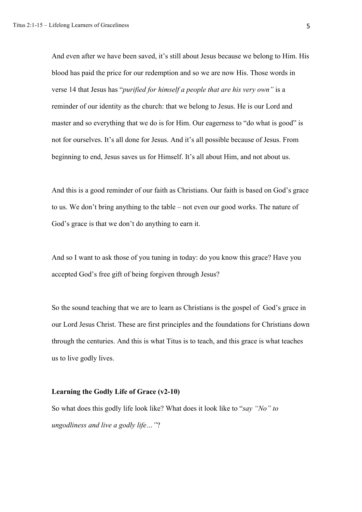And even after we have been saved, it's still about Jesus because we belong to Him. His blood has paid the price for our redemption and so we are now His. Those words in verse 14 that Jesus has "*purified for himself a people that are his very own"* is a reminder of our identity as the church: that we belong to Jesus. He is our Lord and master and so everything that we do is for Him. Our eagerness to "do what is good" is not for ourselves. It's all done for Jesus. And it's all possible because of Jesus. From beginning to end, Jesus saves us for Himself. It's all about Him, and not about us.

And this is a good reminder of our faith as Christians. Our faith is based on God's grace to us. We don't bring anything to the table – not even our good works. The nature of God's grace is that we don't do anything to earn it.

And so I want to ask those of you tuning in today: do you know this grace? Have you accepted God's free gift of being forgiven through Jesus?

So the sound teaching that we are to learn as Christians is the gospel of God's grace in our Lord Jesus Christ. These are first principles and the foundations for Christians down through the centuries. And this is what Titus is to teach, and this grace is what teaches us to live godly lives.

## **Learning the Godly Life of Grace (v2-10)**

So what does this godly life look like? What does it look like to "*say "No" to ungodliness and live a godly life…"*?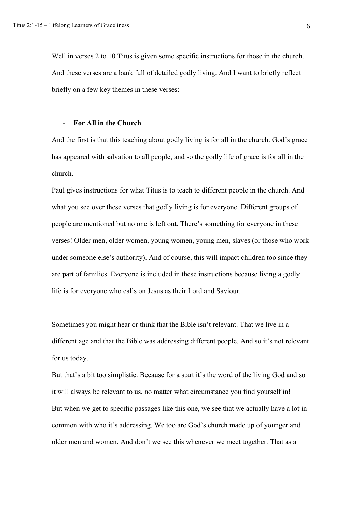Well in verses 2 to 10 Titus is given some specific instructions for those in the church. And these verses are a bank full of detailed godly living. And I want to briefly reflect briefly on a few key themes in these verses:

#### - **For All in the Church**

And the first is that this teaching about godly living is for all in the church. God's grace has appeared with salvation to all people, and so the godly life of grace is for all in the church.

Paul gives instructions for what Titus is to teach to different people in the church. And what you see over these verses that godly living is for everyone. Different groups of people are mentioned but no one is left out. There's something for everyone in these verses! Older men, older women, young women, young men, slaves (or those who work under someone else's authority). And of course, this will impact children too since they are part of families. Everyone is included in these instructions because living a godly life is for everyone who calls on Jesus as their Lord and Saviour.

Sometimes you might hear or think that the Bible isn't relevant. That we live in a different age and that the Bible was addressing different people. And so it's not relevant for us today.

But that's a bit too simplistic. Because for a start it's the word of the living God and so it will always be relevant to us, no matter what circumstance you find yourself in! But when we get to specific passages like this one, we see that we actually have a lot in common with who it's addressing. We too are God's church made up of younger and older men and women. And don't we see this whenever we meet together. That as a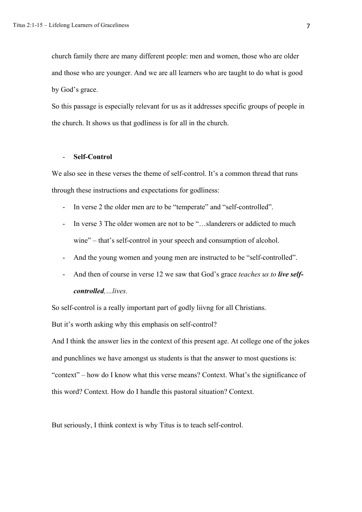church family there are many different people: men and women, those who are older and those who are younger. And we are all learners who are taught to do what is good by God's grace.

So this passage is especially relevant for us as it addresses specific groups of people in the church. It shows us that godliness is for all in the church.

## - **Self-Control**

We also see in these verses the theme of self-control. It's a common thread that runs through these instructions and expectations for godliness:

- In verse 2 the older men are to be "temperate" and "self-controlled".
- In verse 3 The older women are not to be "...slanderers or addicted to much wine" – that's self-control in your speech and consumption of alcohol.
- And the young women and young men are instructed to be "self-controlled".
- And then of course in verse 12 we saw that God's grace *teaches us to live selfcontrolled,…lives.*

So self-control is a really important part of godly liivng for all Christians.

But it's worth asking why this emphasis on self-control?

And I think the answer lies in the context of this present age. At college one of the jokes and punchlines we have amongst us students is that the answer to most questions is: "context" – how do I know what this verse means? Context. What's the significance of this word? Context. How do I handle this pastoral situation? Context.

But seriously, I think context is why Titus is to teach self-control.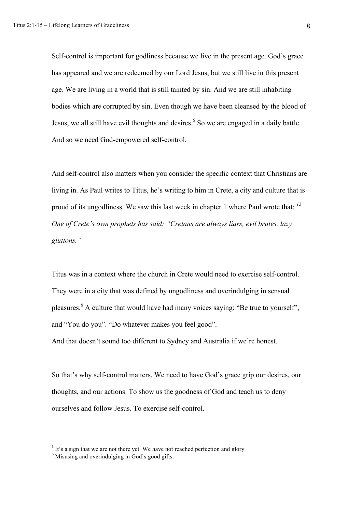Self-control is important for godliness because we live in the present age. God's grace has appeared and we are redeemed by our Lord Jesus, but we still live in this present age. We are living in a world that is still tainted by sin. And we are still inhabiting bodies which are corrupted by sin. Even though we have been cleansed by the blood of Jesus, we all still have evil thoughts and desires.<sup>5</sup> So we are engaged in a daily battle. And so we need God-empowered self-control.

And self-control also matters when you consider the specific context that Christians are living in. As Paul writes to Titus, he's writing to him in Crete, a city and culture that is proud of its ungodliness. We saw this last week in chapter 1 where Paul wrote that: *<sup>12</sup> One of Crete's own prophets has said: "Cretans are always liars, evil brutes, lazy gluttons."*

Titus was in a context where the church in Crete would need to exercise self-control. They were in a city that was defined by ungodliness and overindulging in sensual pleasures. <sup>6</sup> A culture that would have had many voices saying: "Be true to yourself", and "You do you". "Do whatever makes you feel good".

And that doesn't sound too different to Sydney and Australia if we're honest.

So that's why self-control matters. We need to have God's grace grip our desires, our thoughts, and our actions. To show us the goodness of God and teach us to deny ourselves and follow Jesus. To exercise self-control.

 $5$  It's a sign that we are not there yet. We have not reached perfection and glory

<sup>&</sup>lt;sup>6</sup> Misusing and overindulging in God's good gifts.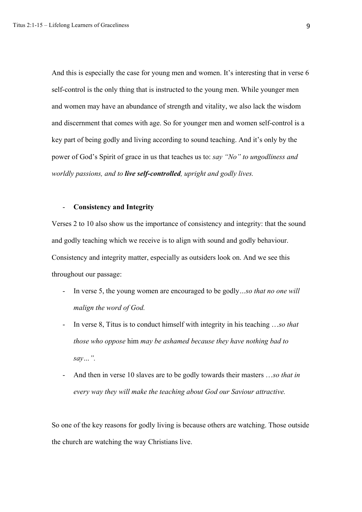And this is especially the case for young men and women. It's interesting that in verse 6 self-control is the only thing that is instructed to the young men. While younger men and women may have an abundance of strength and vitality, we also lack the wisdom and discernment that comes with age. So for younger men and women self-control is a key part of being godly and living according to sound teaching. And it's only by the power of God's Spirit of grace in us that teaches us to: *say "No" to ungodliness and worldly passions, and to live self-controlled, upright and godly lives.*

## - **Consistency and Integrity**

Verses 2 to 10 also show us the importance of consistency and integrity: that the sound and godly teaching which we receive is to align with sound and godly behaviour. Consistency and integrity matter, especially as outsiders look on. And we see this throughout our passage:

- In verse 5, the young women are encouraged to be godly*…so that no one will malign the word of God.*
- In verse 8, Titus is to conduct himself with integrity in his teaching …*so that those who oppose* him *may be ashamed because they have nothing bad to say…".*
- And then in verse 10 slaves are to be godly towards their masters …*so that in every way they will make the teaching about God our Saviour attractive.*

So one of the key reasons for godly living is because others are watching. Those outside the church are watching the way Christians live.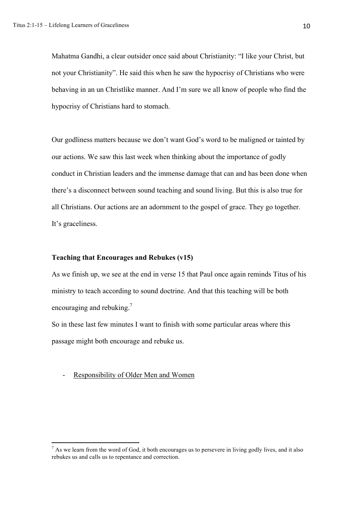Mahatma Gandhi, a clear outsider once said about Christianity: "I like your Christ, but not your Christianity". He said this when he saw the hypocrisy of Christians who were behaving in an un Christlike manner. And I'm sure we all know of people who find the hypocrisy of Christians hard to stomach.

Our godliness matters because we don't want God's word to be maligned or tainted by our actions. We saw this last week when thinking about the importance of godly conduct in Christian leaders and the immense damage that can and has been done when there's a disconnect between sound teaching and sound living. But this is also true for all Christians. Our actions are an adornment to the gospel of grace. They go together. It's graceliness.

## **Teaching that Encourages and Rebukes (v15)**

As we finish up, we see at the end in verse 15 that Paul once again reminds Titus of his ministry to teach according to sound doctrine. And that this teaching will be both encouraging and rebuking.<sup>7</sup>

So in these last few minutes I want to finish with some particular areas where this passage might both encourage and rebuke us.

#### Responsibility of Older Men and Women

 $^7$  As we learn from the word of God, it both encourages us to persevere in living godly lives, and it also rebukes us and calls us to repentance and correction.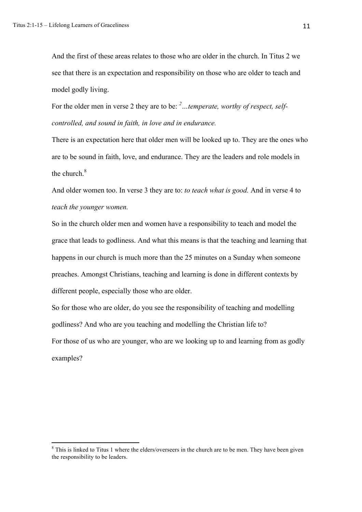And the first of these areas relates to those who are older in the church. In Titus 2 we see that there is an expectation and responsibility on those who are older to teach and model godly living.

For the older men in verse 2 they are to be: <sup>2</sup>...temperate, worthy of respect, self*controlled, and sound in faith, in love and in endurance.*

There is an expectation here that older men will be looked up to. They are the ones who are to be sound in faith, love, and endurance. They are the leaders and role models in the church.<sup>8</sup>

And older women too. In verse 3 they are to: *to teach what is good.* And in verse 4 to *teach the younger women.*

So in the church older men and women have a responsibility to teach and model the grace that leads to godliness. And what this means is that the teaching and learning that happens in our church is much more than the 25 minutes on a Sunday when someone preaches. Amongst Christians, teaching and learning is done in different contexts by different people, especially those who are older.

So for those who are older, do you see the responsibility of teaching and modelling godliness? And who are you teaching and modelling the Christian life to? For those of us who are younger, who are we looking up to and learning from as godly

examples?

 $8$  This is linked to Titus 1 where the elders/overseers in the church are to be men. They have been given the responsibility to be leaders.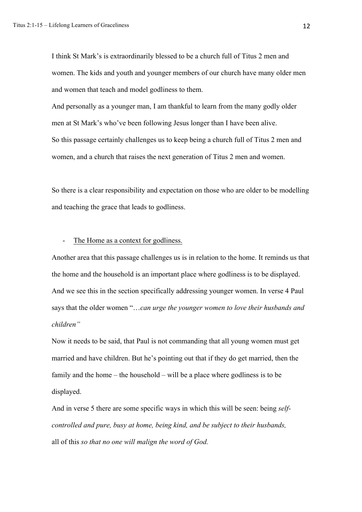I think St Mark's is extraordinarily blessed to be a church full of Titus 2 men and women. The kids and youth and younger members of our church have many older men and women that teach and model godliness to them.

And personally as a younger man, I am thankful to learn from the many godly older men at St Mark's who've been following Jesus longer than I have been alive. So this passage certainly challenges us to keep being a church full of Titus 2 men and women, and a church that raises the next generation of Titus 2 men and women.

So there is a clear responsibility and expectation on those who are older to be modelling and teaching the grace that leads to godliness.

#### The Home as a context for godliness.

Another area that this passage challenges us is in relation to the home. It reminds us that the home and the household is an important place where godliness is to be displayed. And we see this in the section specifically addressing younger women. In verse 4 Paul says that the older women "…*can urge the younger women to love their husbands and children"*

Now it needs to be said, that Paul is not commanding that all young women must get married and have children. But he's pointing out that if they do get married, then the family and the home – the household – will be a place where godliness is to be displayed.

And in verse 5 there are some specific ways in which this will be seen: being *selfcontrolled and pure, busy at home, being kind, and be subject to their husbands,*  all of this *so that no one will malign the word of God.*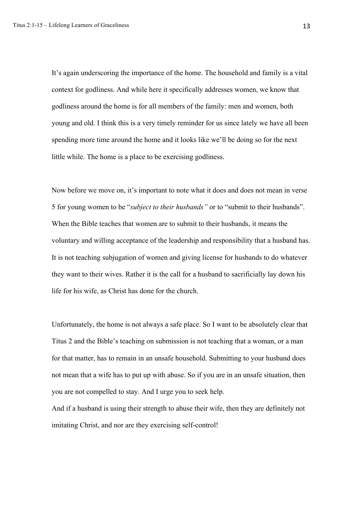It's again underscoring the importance of the home. The household and family is a vital context for godliness. And while here it specifically addresses women, we know that godliness around the home is for all members of the family: men and women, both young and old. I think this is a very timely reminder for us since lately we have all been spending more time around the home and it looks like we'll be doing so for the next little while. The home is a place to be exercising godliness.

Now before we move on, it's important to note what it does and does not mean in verse 5 for young women to be "*subject to their husbands"* or to "submit to their husbands". When the Bible teaches that women are to submit to their husbands, it means the voluntary and willing acceptance of the leadership and responsibility that a husband has. It is not teaching subjugation of women and giving license for husbands to do whatever they want to their wives. Rather it is the call for a husband to sacrificially lay down his life for his wife, as Christ has done for the church.

Unfortunately, the home is not always a safe place. So I want to be absolutely clear that Titus 2 and the Bible's teaching on submission is not teaching that a woman, or a man for that matter, has to remain in an unsafe household. Submitting to your husband does not mean that a wife has to put up with abuse. So if you are in an unsafe situation, then you are not compelled to stay. And I urge you to seek help.

And if a husband is using their strength to abuse their wife, then they are definitely not imitating Christ, and nor are they exercising self-control!